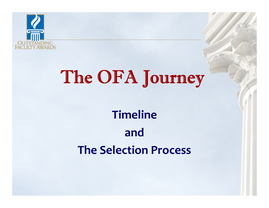

# The OFA Journey

# **TimelineandThe Selection Process**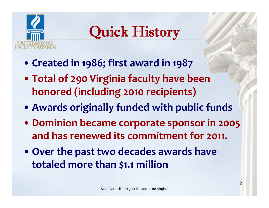

# Quick History

- **Created in 1986; first award in 1987**
- **Total of 290 Virginia faculty have been honored (including <sup>2010</sup> recipients)**
- **Awards originally funded with public funds**
- **Dominion became corporate sponsor in 2005 and has renewed its commitment for 2011.**
- **Over the pas<sup>t</sup> two decades awards have totaled more than \$1.1 million**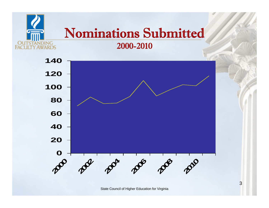#### Nominations Submitted 2000-2010

DING ARDS



State Council of Higher Education for Virginia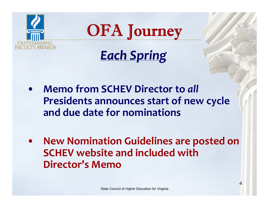



*Each Spring*

- $\bullet$  **Memo from SCHEV Director to** *all* **Presidents announces start of new cycle and due date for nominations**
- $\bullet$  **New Nomination Guidelines are posted on SCHEV website and included with Director's Memo**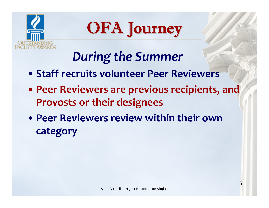



## *During the Summer*

- **Staff recruits volunteer Peer Reviewers**
- **Peer Reviewers are previous recipients, and Provosts or their designees**
- **Peer Reviewers review within their own category**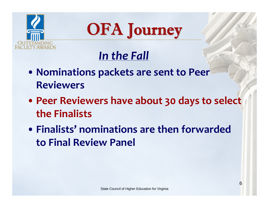



#### *In the Fall*

- **Nominations packets are sent to Peer Reviewers**
- **Peer Reviewers have about 30 days to select the Finalists**
- **Finalists' nominations are then forwarded to Final Review Panel**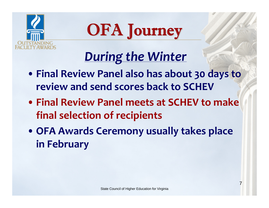



## *During the Winter*

- **Final Review Panel also has about 30 days to review and send scores back to SCHEV**
- **Final Review Panel meets at SCHEV to make final selection of recipients**
- **OFA Awards Ceremony usually takes place in February**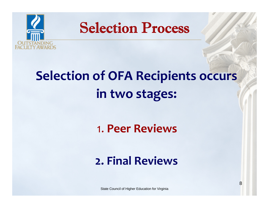

# **Selection of OFA Recipients occurs in two stages:**

1. **Peer Reviews**

#### **2. Final Reviews**

State Council of Higher Education for Virginia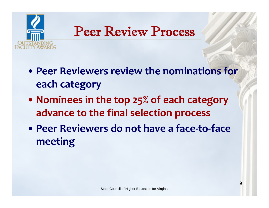

#### Peer Review Process

- **Peer Reviewers review the nominations for each category**
- **Nominees in the top 25% of each category advance to the final selection process**
- **Peer Reviewers do not have <sup>a</sup> face‐to‐face meeting**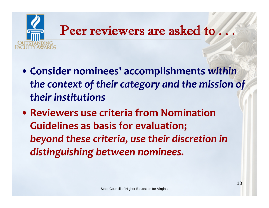

- **Consider nominees' accomplishments** *within the context of their category and the mission of their institutions*
- **Reviewers use criteria from Nomination Guidelines as basis for evaluation;** *beyond these criteria, use their discretion in distinguishing between nominees.*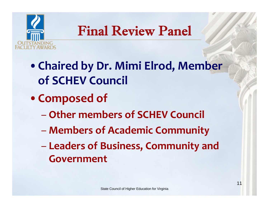

#### Final Review Panel

- •**Chaired by Dr. Mimi Elrod, Member of SCHEV Council**
- •**Composed of**
	- **Other members of SCHEV Council**
	- **Members of Academic Community**
	- $\mathcal{L}_{\mathcal{A}}$  , and the set of  $\mathcal{L}_{\mathcal{A}}$  **Leaders of Business, Community and Government**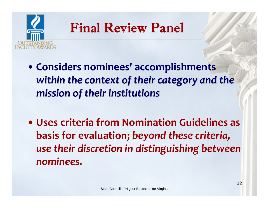

#### Final Review Panel

- **Considers nominees' accomplishments** *within the context context of their category category and the mission mission of their institutions institutions*
- **Uses criteria from Nomination Guidelines as basis for evaluation;** *beyond these criteria, use their discretion in distinguishing between nominees.*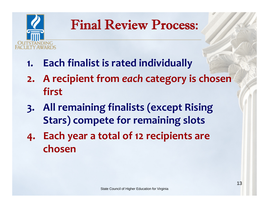

### Final Review Process:

- **1. Each finalist is rated individually**
- **2. A recipient from** *each* **category is chosen first**
- **3. All remaining finalists (except Rising Stars) compete for remaining slots**
- **4. Each year <sup>a</sup> total of <sup>12</sup> recipients are chosen**